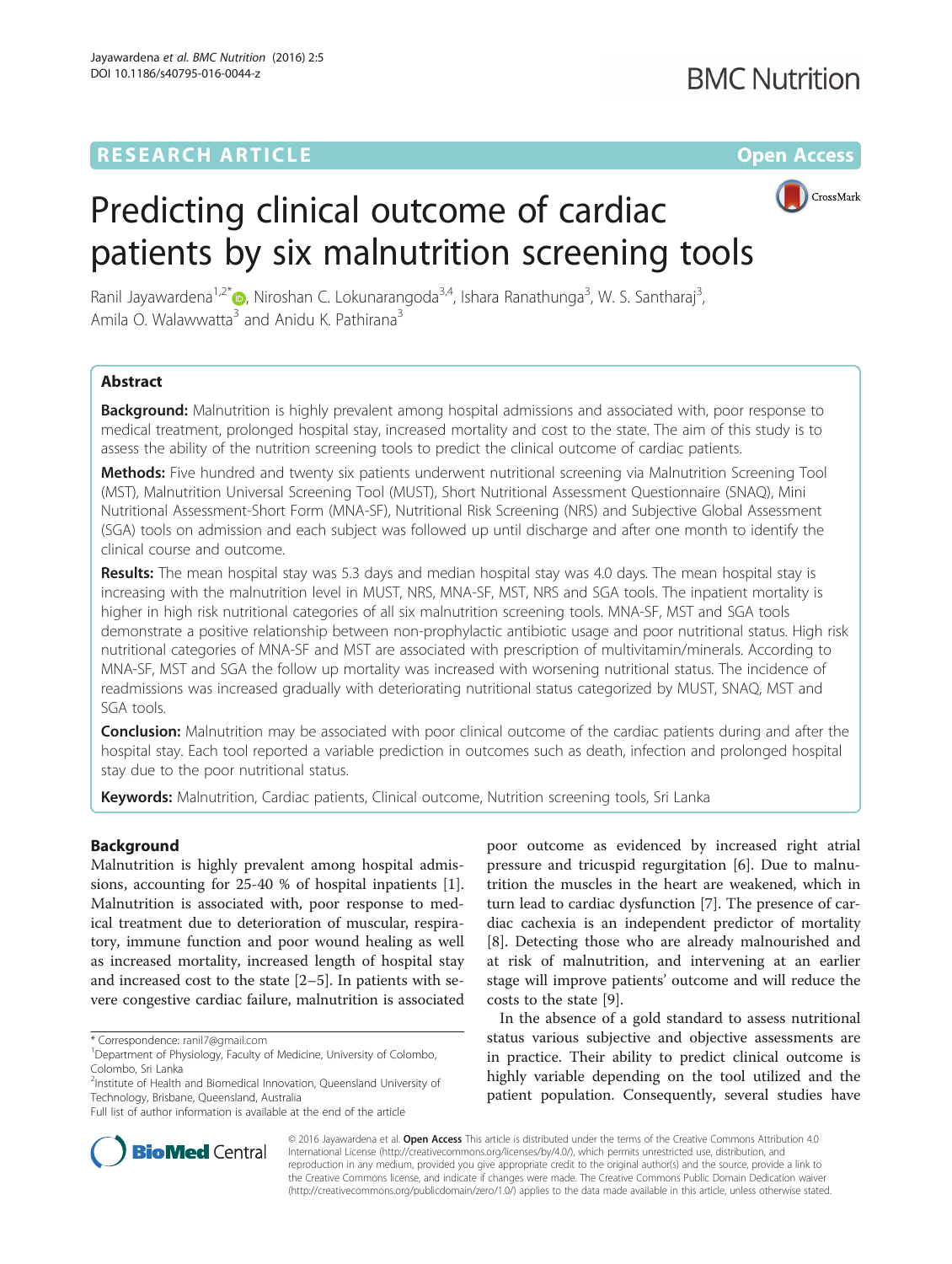## **RESEARCH ARTICLE External Structure Community Community Community Community Community Community Community Community**



# Predicting clinical outcome of cardiac patients by six malnutrition screening tools

Ranil Jayawardena<sup>1,2[\\*](http://orcid.org/0000-0002-7352-9365)</sup>®, Niroshan C. Lokunarangoda<sup>3,4</sup>, Ishara Ranathunga<sup>3</sup>, W. S. Santharaj<sup>3</sup> , Amila O. Walawwatta<sup>3</sup> and Anidu K. Pathirana<sup>3</sup>

## Abstract

**Background:** Malnutrition is highly prevalent among hospital admissions and associated with, poor response to medical treatment, prolonged hospital stay, increased mortality and cost to the state. The aim of this study is to assess the ability of the nutrition screening tools to predict the clinical outcome of cardiac patients.

Methods: Five hundred and twenty six patients underwent nutritional screening via Malnutrition Screening Tool (MST), Malnutrition Universal Screening Tool (MUST), Short Nutritional Assessment Questionnaire (SNAQ), Mini Nutritional Assessment-Short Form (MNA-SF), Nutritional Risk Screening (NRS) and Subjective Global Assessment (SGA) tools on admission and each subject was followed up until discharge and after one month to identify the clinical course and outcome.

Results: The mean hospital stay was 5.3 days and median hospital stay was 4.0 days. The mean hospital stay is increasing with the malnutrition level in MUST, NRS, MNA-SF, MST, NRS and SGA tools. The inpatient mortality is higher in high risk nutritional categories of all six malnutrition screening tools. MNA-SF, MST and SGA tools demonstrate a positive relationship between non-prophylactic antibiotic usage and poor nutritional status. High risk nutritional categories of MNA-SF and MST are associated with prescription of multivitamin/minerals. According to MNA-SF, MST and SGA the follow up mortality was increased with worsening nutritional status. The incidence of readmissions was increased gradually with deteriorating nutritional status categorized by MUST, SNAQ, MST and SGA tools.

**Conclusion:** Malnutrition may be associated with poor clinical outcome of the cardiac patients during and after the hospital stay. Each tool reported a variable prediction in outcomes such as death, infection and prolonged hospital stay due to the poor nutritional status.

Keywords: Malnutrition, Cardiac patients, Clinical outcome, Nutrition screening tools, Sri Lanka

## Background

Malnutrition is highly prevalent among hospital admissions, accounting for 25-40 % of hospital inpatients [\[1](#page-7-0)]. Malnutrition is associated with, poor response to medical treatment due to deterioration of muscular, respiratory, immune function and poor wound healing as well as increased mortality, increased length of hospital stay and increased cost to the state [\[2](#page-7-0)–[5](#page-7-0)]. In patients with severe congestive cardiac failure, malnutrition is associated

<sup>2</sup>Institute of Health and Biomedical Innovation, Queensland University of Technology, Brisbane, Queensland, Australia

poor outcome as evidenced by increased right atrial pressure and tricuspid regurgitation [[6\]](#page-7-0). Due to malnutrition the muscles in the heart are weakened, which in turn lead to cardiac dysfunction [\[7](#page-7-0)]. The presence of cardiac cachexia is an independent predictor of mortality [[8\]](#page-7-0). Detecting those who are already malnourished and at risk of malnutrition, and intervening at an earlier stage will improve patients' outcome and will reduce the costs to the state [\[9\]](#page-7-0).

In the absence of a gold standard to assess nutritional status various subjective and objective assessments are in practice. Their ability to predict clinical outcome is highly variable depending on the tool utilized and the patient population. Consequently, several studies have



© 2016 Jayawardena et al. Open Access This article is distributed under the terms of the Creative Commons Attribution 4.0 International License [\(http://creativecommons.org/licenses/by/4.0/](http://creativecommons.org/licenses/by/4.0/)), which permits unrestricted use, distribution, and reproduction in any medium, provided you give appropriate credit to the original author(s) and the source, provide a link to the Creative Commons license, and indicate if changes were made. The Creative Commons Public Domain Dedication waiver [\(http://creativecommons.org/publicdomain/zero/1.0/](http://creativecommons.org/publicdomain/zero/1.0/)) applies to the data made available in this article, unless otherwise stated.

<sup>\*</sup> Correspondence: [ranil7@gmail.com](mailto:ranil7@gmail.com) <sup>1</sup>

<sup>&</sup>lt;sup>1</sup>Department of Physiology, Faculty of Medicine, University of Colombo, Colombo, Sri Lanka

Full list of author information is available at the end of the article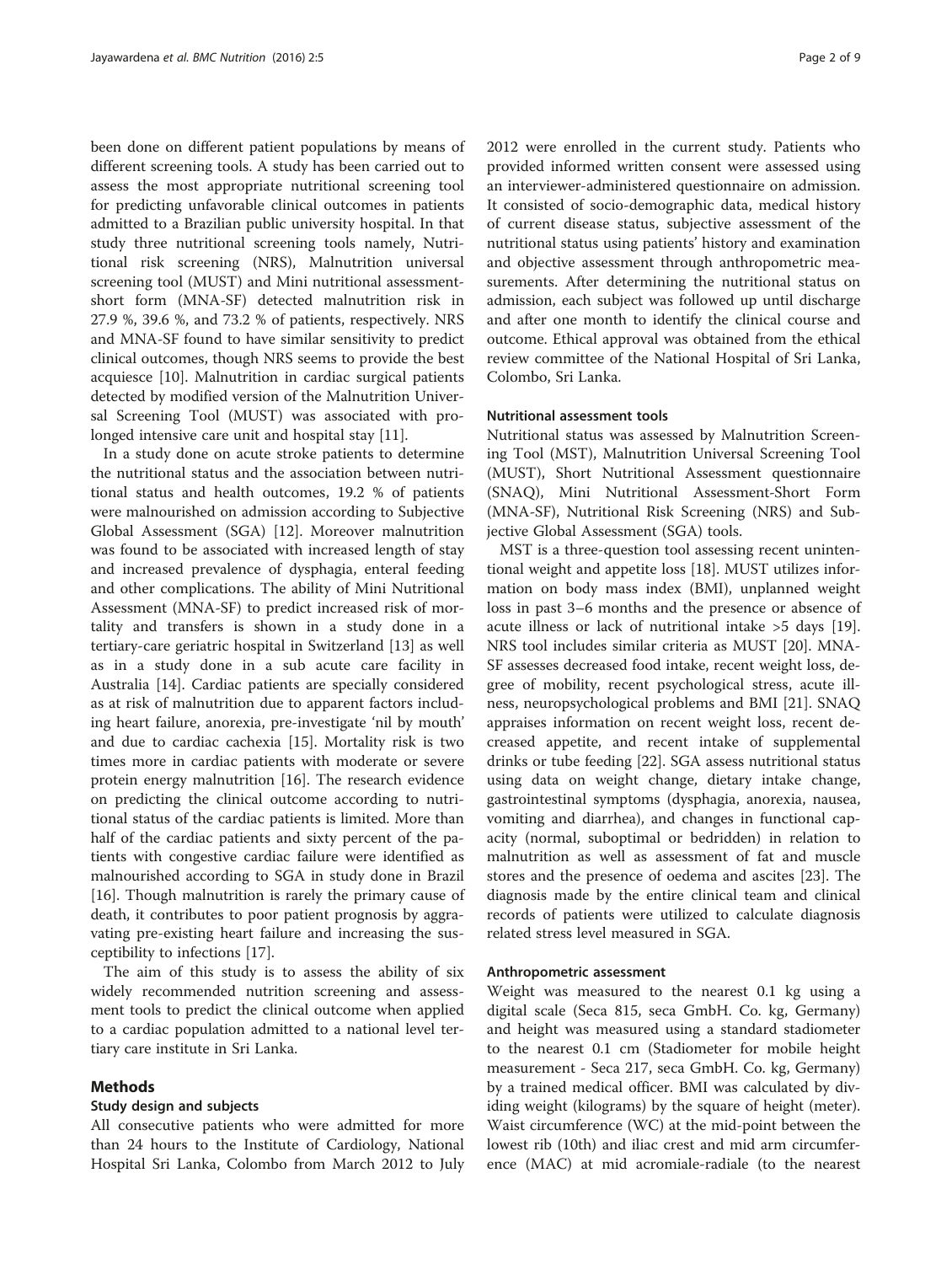been done on different patient populations by means of different screening tools. A study has been carried out to assess the most appropriate nutritional screening tool for predicting unfavorable clinical outcomes in patients admitted to a Brazilian public university hospital. In that study three nutritional screening tools namely, Nutritional risk screening (NRS), Malnutrition universal screening tool (MUST) and Mini nutritional assessmentshort form (MNA-SF) detected malnutrition risk in 27.9 %, 39.6 %, and 73.2 % of patients, respectively. NRS and MNA-SF found to have similar sensitivity to predict clinical outcomes, though NRS seems to provide the best acquiesce [[10](#page-7-0)]. Malnutrition in cardiac surgical patients detected by modified version of the Malnutrition Universal Screening Tool (MUST) was associated with prolonged intensive care unit and hospital stay [\[11](#page-7-0)].

In a study done on acute stroke patients to determine the nutritional status and the association between nutritional status and health outcomes, 19.2 % of patients were malnourished on admission according to Subjective Global Assessment (SGA) [\[12](#page-7-0)]. Moreover malnutrition was found to be associated with increased length of stay and increased prevalence of dysphagia, enteral feeding and other complications. The ability of Mini Nutritional Assessment (MNA-SF) to predict increased risk of mortality and transfers is shown in a study done in a tertiary-care geriatric hospital in Switzerland [[13](#page-7-0)] as well as in a study done in a sub acute care facility in Australia [[14\]](#page-7-0). Cardiac patients are specially considered as at risk of malnutrition due to apparent factors including heart failure, anorexia, pre-investigate 'nil by mouth' and due to cardiac cachexia [[15](#page-7-0)]. Mortality risk is two times more in cardiac patients with moderate or severe protein energy malnutrition [[16\]](#page-7-0). The research evidence on predicting the clinical outcome according to nutritional status of the cardiac patients is limited. More than half of the cardiac patients and sixty percent of the patients with congestive cardiac failure were identified as malnourished according to SGA in study done in Brazil [[16\]](#page-7-0). Though malnutrition is rarely the primary cause of death, it contributes to poor patient prognosis by aggravating pre-existing heart failure and increasing the susceptibility to infections [[17\]](#page-7-0).

The aim of this study is to assess the ability of six widely recommended nutrition screening and assessment tools to predict the clinical outcome when applied to a cardiac population admitted to a national level tertiary care institute in Sri Lanka.

## Methods

## Study design and subjects

All consecutive patients who were admitted for more than 24 hours to the Institute of Cardiology, National Hospital Sri Lanka, Colombo from March 2012 to July 2012 were enrolled in the current study. Patients who provided informed written consent were assessed using an interviewer-administered questionnaire on admission. It consisted of socio-demographic data, medical history of current disease status, subjective assessment of the nutritional status using patients' history and examination and objective assessment through anthropometric measurements. After determining the nutritional status on admission, each subject was followed up until discharge and after one month to identify the clinical course and outcome. Ethical approval was obtained from the ethical review committee of the National Hospital of Sri Lanka, Colombo, Sri Lanka.

#### Nutritional assessment tools

Nutritional status was assessed by Malnutrition Screening Tool (MST), Malnutrition Universal Screening Tool (MUST), Short Nutritional Assessment questionnaire (SNAQ), Mini Nutritional Assessment-Short Form (MNA-SF), Nutritional Risk Screening (NRS) and Subjective Global Assessment (SGA) tools.

MST is a three-question tool assessing recent unintentional weight and appetite loss [\[18](#page-7-0)]. MUST utilizes information on body mass index (BMI), unplanned weight loss in past 3–6 months and the presence or absence of acute illness or lack of nutritional intake >5 days [\[19](#page-7-0)]. NRS tool includes similar criteria as MUST [[20\]](#page-7-0). MNA-SF assesses decreased food intake, recent weight loss, degree of mobility, recent psychological stress, acute illness, neuropsychological problems and BMI [\[21\]](#page-7-0). SNAQ appraises information on recent weight loss, recent decreased appetite, and recent intake of supplemental drinks or tube feeding [[22](#page-7-0)]. SGA assess nutritional status using data on weight change, dietary intake change, gastrointestinal symptoms (dysphagia, anorexia, nausea, vomiting and diarrhea), and changes in functional capacity (normal, suboptimal or bedridden) in relation to malnutrition as well as assessment of fat and muscle stores and the presence of oedema and ascites [[23\]](#page-7-0). The diagnosis made by the entire clinical team and clinical records of patients were utilized to calculate diagnosis related stress level measured in SGA.

#### Anthropometric assessment

Weight was measured to the nearest 0.1 kg using a digital scale (Seca 815, seca GmbH. Co. kg, Germany) and height was measured using a standard stadiometer to the nearest 0.1 cm (Stadiometer for mobile height measurement - Seca 217, seca GmbH. Co. kg, Germany) by a trained medical officer. BMI was calculated by dividing weight (kilograms) by the square of height (meter). Waist circumference (WC) at the mid-point between the lowest rib (10th) and iliac crest and mid arm circumference (MAC) at mid acromiale-radiale (to the nearest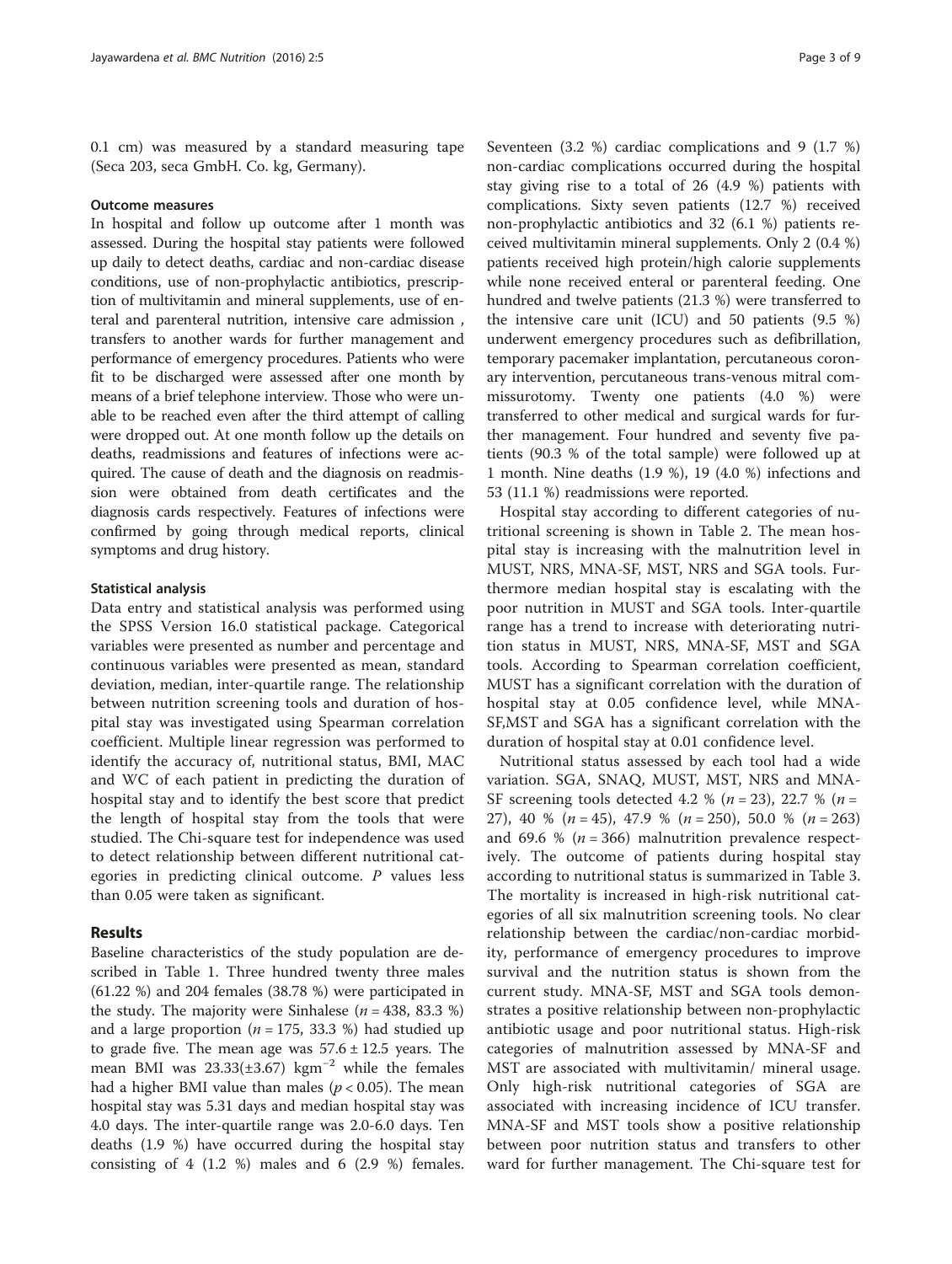0.1 cm) was measured by a standard measuring tape (Seca 203, seca GmbH. Co. kg, Germany).

#### Outcome measures

In hospital and follow up outcome after 1 month was assessed. During the hospital stay patients were followed up daily to detect deaths, cardiac and non-cardiac disease conditions, use of non-prophylactic antibiotics, prescription of multivitamin and mineral supplements, use of enteral and parenteral nutrition, intensive care admission , transfers to another wards for further management and performance of emergency procedures. Patients who were fit to be discharged were assessed after one month by means of a brief telephone interview. Those who were unable to be reached even after the third attempt of calling were dropped out. At one month follow up the details on deaths, readmissions and features of infections were acquired. The cause of death and the diagnosis on readmission were obtained from death certificates and the diagnosis cards respectively. Features of infections were confirmed by going through medical reports, clinical symptoms and drug history.

## Statistical analysis

Data entry and statistical analysis was performed using the SPSS Version 16.0 statistical package. Categorical variables were presented as number and percentage and continuous variables were presented as mean, standard deviation, median, inter-quartile range. The relationship between nutrition screening tools and duration of hospital stay was investigated using Spearman correlation coefficient. Multiple linear regression was performed to identify the accuracy of, nutritional status, BMI, MAC and WC of each patient in predicting the duration of hospital stay and to identify the best score that predict the length of hospital stay from the tools that were studied. The Chi-square test for independence was used to detect relationship between different nutritional categories in predicting clinical outcome. P values less than 0.05 were taken as significant.

## Results

Baseline characteristics of the study population are described in Table [1.](#page-3-0) Three hundred twenty three males (61.22 %) and 204 females (38.78 %) were participated in the study. The majority were Sinhalese ( $n = 438, 83.3$  %) and a large proportion ( $n = 175$ , 33.3 %) had studied up to grade five. The mean age was  $57.6 \pm 12.5$  years. The mean BMI was  $23.33(\pm 3.67)$  kgm<sup>-2</sup> while the females had a higher BMI value than males ( $p < 0.05$ ). The mean hospital stay was 5.31 days and median hospital stay was 4.0 days. The inter-quartile range was 2.0-6.0 days. Ten deaths (1.9 %) have occurred during the hospital stay consisting of  $4$  (1.2 %) males and  $6$  (2.9 %) females.

Seventeen (3.2 %) cardiac complications and 9 (1.7 %) non-cardiac complications occurred during the hospital stay giving rise to a total of 26 (4.9 %) patients with complications. Sixty seven patients (12.7 %) received non-prophylactic antibiotics and 32 (6.1 %) patients received multivitamin mineral supplements. Only 2 (0.4 %) patients received high protein/high calorie supplements while none received enteral or parenteral feeding. One hundred and twelve patients (21.3 %) were transferred to the intensive care unit (ICU) and 50 patients (9.5 %) underwent emergency procedures such as defibrillation, temporary pacemaker implantation, percutaneous coronary intervention, percutaneous trans-venous mitral commissurotomy. Twenty one patients (4.0 %) were transferred to other medical and surgical wards for further management. Four hundred and seventy five patients (90.3 % of the total sample) were followed up at 1 month. Nine deaths (1.9 %), 19 (4.0 %) infections and 53 (11.1 %) readmissions were reported.

Hospital stay according to different categories of nutritional screening is shown in Table [2](#page-4-0). The mean hospital stay is increasing with the malnutrition level in MUST, NRS, MNA-SF, MST, NRS and SGA tools. Furthermore median hospital stay is escalating with the poor nutrition in MUST and SGA tools. Inter-quartile range has a trend to increase with deteriorating nutrition status in MUST, NRS, MNA-SF, MST and SGA tools. According to Spearman correlation coefficient, MUST has a significant correlation with the duration of hospital stay at 0.05 confidence level, while MNA-SF,MST and SGA has a significant correlation with the duration of hospital stay at 0.01 confidence level.

Nutritional status assessed by each tool had a wide variation. SGA, SNAQ, MUST, MST, NRS and MNA-SF screening tools detected 4.2 % ( $n = 23$ ), 22.7 % ( $n =$ 27), 40 %  $(n = 45)$ , 47.9 %  $(n = 250)$ , 50.0 %  $(n = 263)$ and 69.6 % ( $n = 366$ ) malnutrition prevalence respectively. The outcome of patients during hospital stay according to nutritional status is summarized in Table [3](#page-5-0). The mortality is increased in high-risk nutritional categories of all six malnutrition screening tools. No clear relationship between the cardiac/non-cardiac morbidity, performance of emergency procedures to improve survival and the nutrition status is shown from the current study. MNA-SF, MST and SGA tools demonstrates a positive relationship between non-prophylactic antibiotic usage and poor nutritional status. High-risk categories of malnutrition assessed by MNA-SF and MST are associated with multivitamin/ mineral usage. Only high-risk nutritional categories of SGA are associated with increasing incidence of ICU transfer. MNA-SF and MST tools show a positive relationship between poor nutrition status and transfers to other ward for further management. The Chi-square test for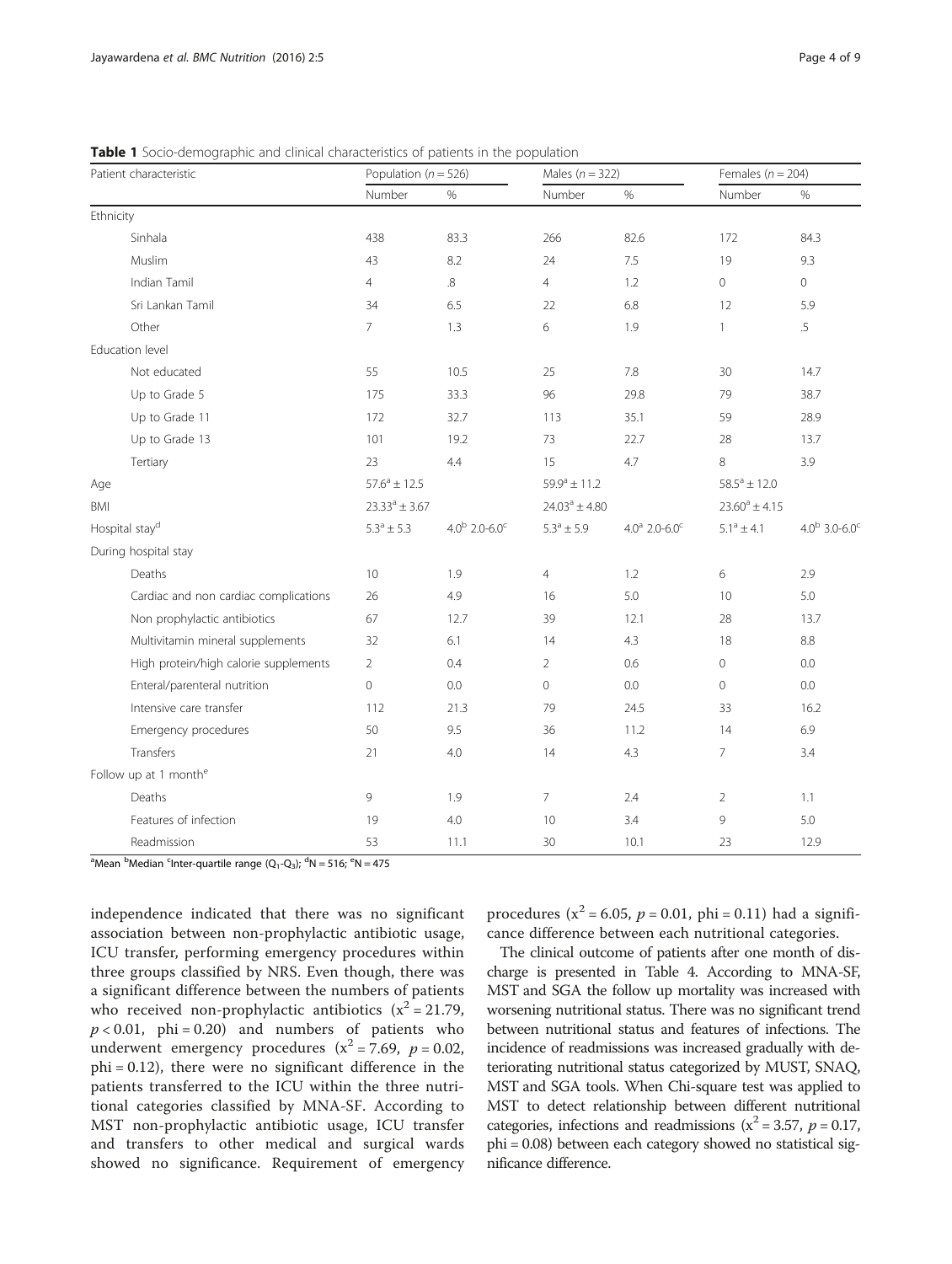| Patient characteristic                | Population ( $n = 526$ ) |                                    | Males ( $n = 322$ ) |                              | Females ( $n = 204$ ) |                                |
|---------------------------------------|--------------------------|------------------------------------|---------------------|------------------------------|-----------------------|--------------------------------|
|                                       | Number                   | $\%$                               | Number              | %                            | Number                | $\%$                           |
| Ethnicity                             |                          |                                    |                     |                              |                       |                                |
| Sinhala                               | 438                      | 83.3                               | 266                 | 82.6                         | 172                   | 84.3                           |
| Muslim                                | 43                       | 8.2                                | 24                  | 7.5                          | 19                    | 9.3                            |
| Indian Tamil                          | $\overline{4}$           | .8                                 | $\overline{4}$      | 1.2                          | $\mathbf{0}$          | $\circ$                        |
| Sri Lankan Tamil                      | 34                       | 6.5                                | 22                  | 6.8                          | 12                    | 5.9                            |
| Other                                 | $\overline{7}$           | 1.3                                | 6                   | 1.9                          | $\mathbf{1}$          | $\overline{5}$                 |
| Education level                       |                          |                                    |                     |                              |                       |                                |
| Not educated                          | 55                       | 10.5                               | 25                  | 7.8                          | 30                    | 14.7                           |
| Up to Grade 5                         | 175                      | 33.3                               | 96                  | 29.8                         | 79                    | 38.7                           |
| Up to Grade 11                        | 172                      | 32.7                               | 113                 | 35.1                         | 59                    | 28.9                           |
| Up to Grade 13                        | 101                      | 19.2                               | 73                  | 22.7                         | 28                    | 13.7                           |
| Tertiary                              | 23                       | 4.4                                | 15                  | 4.7                          | 8                     | 3.9                            |
| Age                                   | $57.6^a \pm 12.5$        |                                    | $59.9^a \pm 11.2$   |                              | $58.5^a \pm 12.0$     |                                |
| <b>BMI</b>                            | $23.33^a \pm 3.67$       |                                    | $24.03^a \pm 4.80$  |                              | $23.60^a \pm 4.15$    |                                |
| Hospital stay <sup>d</sup>            | $5.3^{\circ} \pm 5.3$    | $4.0^{\rm b}$ 2.0-6.0 <sup>c</sup> | $5.3^a \pm 5.9$     | $4.0^a$ 2.0-6.0 <sup>c</sup> | $5.1^a \pm 4.1$       | $4.0^{b}$ 3.0-6.0 <sup>c</sup> |
| During hospital stay                  |                          |                                    |                     |                              |                       |                                |
| Deaths                                | 10 <sup>°</sup>          | 1.9                                | $\overline{4}$      | 1.2                          | 6                     | 2.9                            |
| Cardiac and non cardiac complications | 26                       | 4.9                                | 16                  | 5.0                          | 10                    | 5.0                            |
| Non prophylactic antibiotics          | 67                       | 12.7                               | 39                  | 12.1                         | 28                    | 13.7                           |
| Multivitamin mineral supplements      | 32                       | 6.1                                | 14                  | 4.3                          | 18                    | 8.8                            |
| High protein/high calorie supplements | $\overline{2}$           | 0.4                                | 2                   | 0.6                          | $\mathbf{0}$          | 0.0                            |
| Enteral/parenteral nutrition          | $\circ$                  | 0.0                                | $\circ$             | 0.0                          | $\mathbf{0}$          | 0.0                            |
| Intensive care transfer               | 112                      | 21.3                               | 79                  | 24.5                         | 33                    | 16.2                           |
| Emergency procedures                  | 50                       | 9.5                                | 36                  | 11.2                         | 14                    | 6.9                            |
| Transfers                             | 21                       | 4.0                                | 14                  | 4.3                          | $\overline{7}$        | 3.4                            |
| Follow up at 1 month <sup>e</sup>     |                          |                                    |                     |                              |                       |                                |
| Deaths                                | 9                        | 1.9                                | $\overline{7}$      | 2.4                          | $\overline{2}$        | 1.1                            |
| Features of infection                 | 19                       | 4.0                                | 10                  | 3.4                          | 9                     | 5.0                            |
| Readmission                           | 53                       | 11.1                               | 30                  | 10.1                         | 23                    | 12.9                           |

<span id="page-3-0"></span>**Table 1** Socio-demographic and clinical characteristics of patients in the population

<sup>a</sup>Mean <sup>b</sup>Median <sup>c</sup>Inter-quartile range (Q<sub>1</sub>-Q<sub>3</sub>); <sup>d</sup>N = 516; <sup>e</sup>N = 475

independence indicated that there was no significant association between non-prophylactic antibiotic usage, ICU transfer, performing emergency procedures within three groups classified by NRS. Even though, there was a significant difference between the numbers of patients who received non-prophylactic antibiotics  $(x^2 = 21.79)$ ,  $p < 0.01$ , phi = 0.20) and numbers of patients who underwent emergency procedures  $(x^2 = 7.69, p = 0.02,$ phi = 0.12), there were no significant difference in the patients transferred to the ICU within the three nutritional categories classified by MNA-SF. According to MST non-prophylactic antibiotic usage, ICU transfer and transfers to other medical and surgical wards showed no significance. Requirement of emergency

procedures ( $x^2 = 6.05$ ,  $p = 0.01$ , phi = 0.11) had a significance difference between each nutritional categories.

The clinical outcome of patients after one month of discharge is presented in Table [4.](#page-6-0) According to MNA-SF, MST and SGA the follow up mortality was increased with worsening nutritional status. There was no significant trend between nutritional status and features of infections. The incidence of readmissions was increased gradually with deteriorating nutritional status categorized by MUST, SNAQ, MST and SGA tools. When Chi-square test was applied to MST to detect relationship between different nutritional categories, infections and readmissions ( $x^2 = 3.57$ ,  $p = 0.17$ , phi = 0.08) between each category showed no statistical significance difference.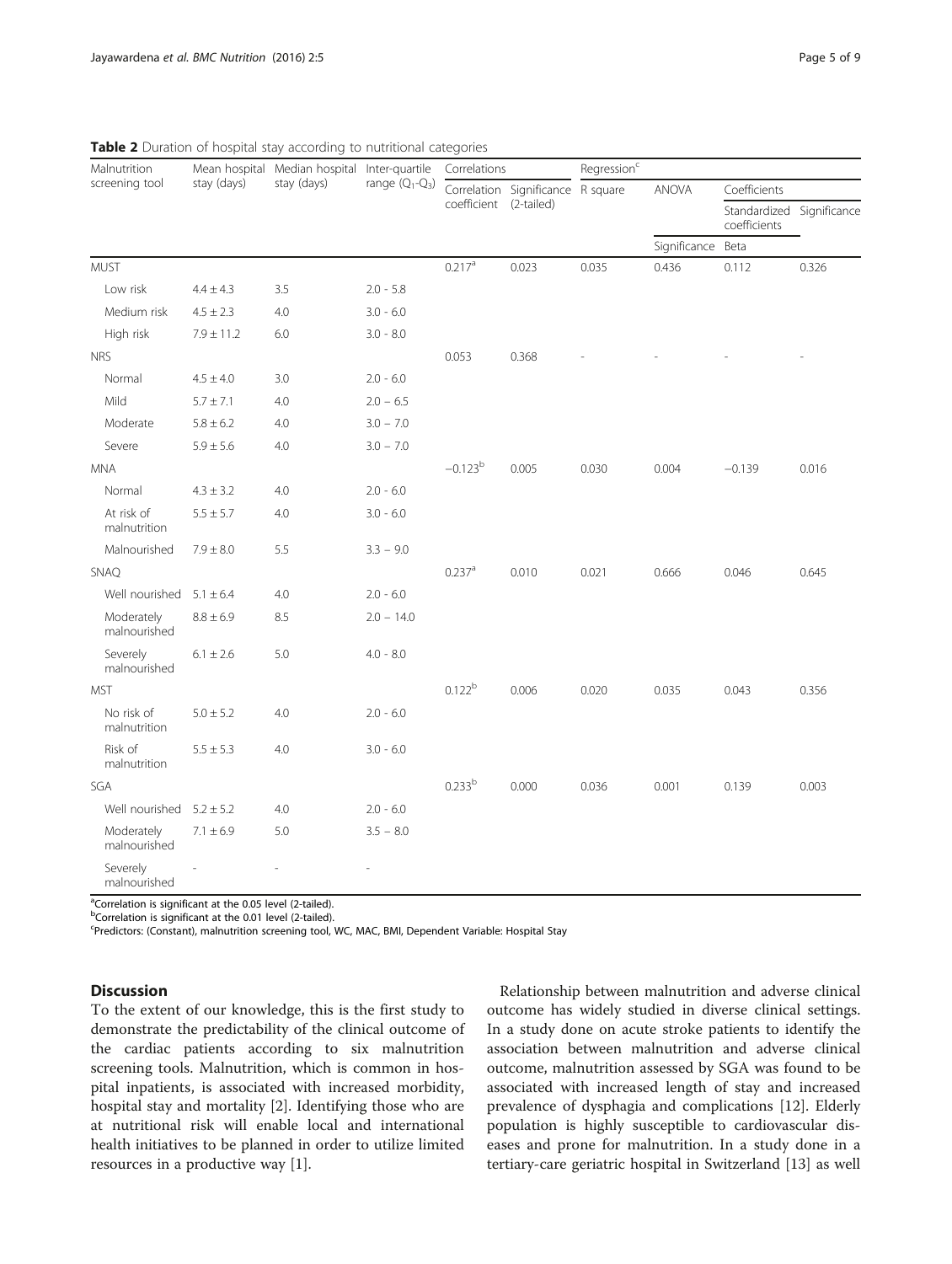| Malnutrition<br>screening tool<br>stay (days) |                | Mean hospital Median hospital Inter-quartile<br>stay (days) | range $(Q_1-Q_3)$ | Correlations           |                                   | Regression <sup>c</sup> |              |                                           |       |
|-----------------------------------------------|----------------|-------------------------------------------------------------|-------------------|------------------------|-----------------------------------|-------------------------|--------------|-------------------------------------------|-------|
|                                               |                |                                                             |                   | coefficient (2-tailed) | Correlation Significance R square |                         | <b>ANOVA</b> | Coefficients                              |       |
|                                               |                |                                                             |                   |                        |                                   |                         |              | Standardized Significance<br>coefficients |       |
|                                               |                |                                                             |                   |                        |                                   | Significance Beta       |              |                                           |       |
| <b>MUST</b>                                   |                |                                                             |                   | $0.217^{\rm a}$        | 0.023                             | 0.035                   | 0.436        | 0.112                                     | 0.326 |
| Low risk                                      | $4.4 \pm 4.3$  | 3.5                                                         | $2.0 - 5.8$       |                        |                                   |                         |              |                                           |       |
| Medium risk                                   | $4.5 \pm 2.3$  | 4.0                                                         | $3.0 - 6.0$       |                        |                                   |                         |              |                                           |       |
| High risk                                     | $7.9 \pm 11.2$ | 6.0                                                         | $3.0 - 8.0$       |                        |                                   |                         |              |                                           |       |
| <b>NRS</b>                                    |                |                                                             |                   | 0.053                  | 0.368                             |                         |              |                                           |       |
| Normal                                        | $4.5 \pm 4.0$  | 3.0                                                         | $2.0 - 6.0$       |                        |                                   |                         |              |                                           |       |
| Mild                                          | $5.7 \pm 7.1$  | 4.0                                                         | $2.0 - 6.5$       |                        |                                   |                         |              |                                           |       |
| Moderate                                      | $5.8\pm6.2$    | 4.0                                                         | $3.0 - 7.0$       |                        |                                   |                         |              |                                           |       |
| Severe                                        | $5.9 \pm 5.6$  | 4.0                                                         | $3.0 - 7.0$       |                        |                                   |                         |              |                                           |       |
| <b>MNA</b>                                    |                |                                                             |                   | $-0.123^{b}$           | 0.005                             | 0.030                   | 0.004        | $-0.139$                                  | 0.016 |
| Normal                                        | $4.3 \pm 3.2$  | 4.0                                                         | $2.0 - 6.0$       |                        |                                   |                         |              |                                           |       |
| At risk of<br>malnutrition                    | $5.5 \pm 5.7$  | 4.0                                                         | $3.0 - 6.0$       |                        |                                   |                         |              |                                           |       |
| Malnourished                                  | $7.9 \pm 8.0$  | 5.5                                                         | $3.3 - 9.0$       |                        |                                   |                         |              |                                           |       |
| SNAQ                                          |                |                                                             |                   | $0.237$ <sup>a</sup>   | 0.010                             | 0.021                   | 0.666        | 0.046                                     | 0.645 |
| Well nourished $5.1 \pm 6.4$                  |                | 4.0                                                         | $2.0 - 6.0$       |                        |                                   |                         |              |                                           |       |
| Moderately<br>malnourished                    | $8.8\pm6.9$    | 8.5                                                         | $2.0 - 14.0$      |                        |                                   |                         |              |                                           |       |
| Severely<br>malnourished                      | $6.1 \pm 2.6$  | 5.0                                                         | $4.0 - 8.0$       |                        |                                   |                         |              |                                           |       |
| <b>MST</b>                                    |                |                                                             |                   | $0.122^{b}$            | 0.006                             | 0.020                   | 0.035        | 0.043                                     | 0.356 |
| No risk of<br>malnutrition                    | $5.0 \pm 5.2$  | 4.0                                                         | $2.0 - 6.0$       |                        |                                   |                         |              |                                           |       |
| Risk of<br>malnutrition                       | $5.5 \pm 5.3$  | 4.0                                                         | $3.0 - 6.0$       |                        |                                   |                         |              |                                           |       |
| SGA                                           |                |                                                             |                   | 0.233 <sup>b</sup>     | 0.000                             | 0.036                   | 0.001        | 0.139                                     | 0.003 |
| Well nourished $5.2 \pm 5.2$                  |                | 4.0                                                         | $2.0 - 6.0$       |                        |                                   |                         |              |                                           |       |
| Moderately<br>malnourished                    | $7.1 \pm 6.9$  | 5.0                                                         | $3.5 - 8.0$       |                        |                                   |                         |              |                                           |       |
| Severely<br>malnourished                      |                |                                                             |                   |                        |                                   |                         |              |                                           |       |

<span id="page-4-0"></span>Table 2 Duration of hospital stay according to nutritional categories

<sup>a</sup>Correlation is significant at the 0.05 level (2-tailed).

<sup>b</sup>Correlation is significant at the 0.01 level (2-tailed).

Predictors: (Constant), malnutrition screening tool, WC, MAC, BMI, Dependent Variable: Hospital Stay

## **Discussion**

To the extent of our knowledge, this is the first study to demonstrate the predictability of the clinical outcome of the cardiac patients according to six malnutrition screening tools. Malnutrition, which is common in hospital inpatients, is associated with increased morbidity, hospital stay and mortality [\[2](#page-7-0)]. Identifying those who are at nutritional risk will enable local and international health initiatives to be planned in order to utilize limited resources in a productive way [[1\]](#page-7-0).

Relationship between malnutrition and adverse clinical outcome has widely studied in diverse clinical settings. In a study done on acute stroke patients to identify the association between malnutrition and adverse clinical outcome, malnutrition assessed by SGA was found to be associated with increased length of stay and increased prevalence of dysphagia and complications [\[12\]](#page-7-0). Elderly population is highly susceptible to cardiovascular diseases and prone for malnutrition. In a study done in a tertiary-care geriatric hospital in Switzerland [[13](#page-7-0)] as well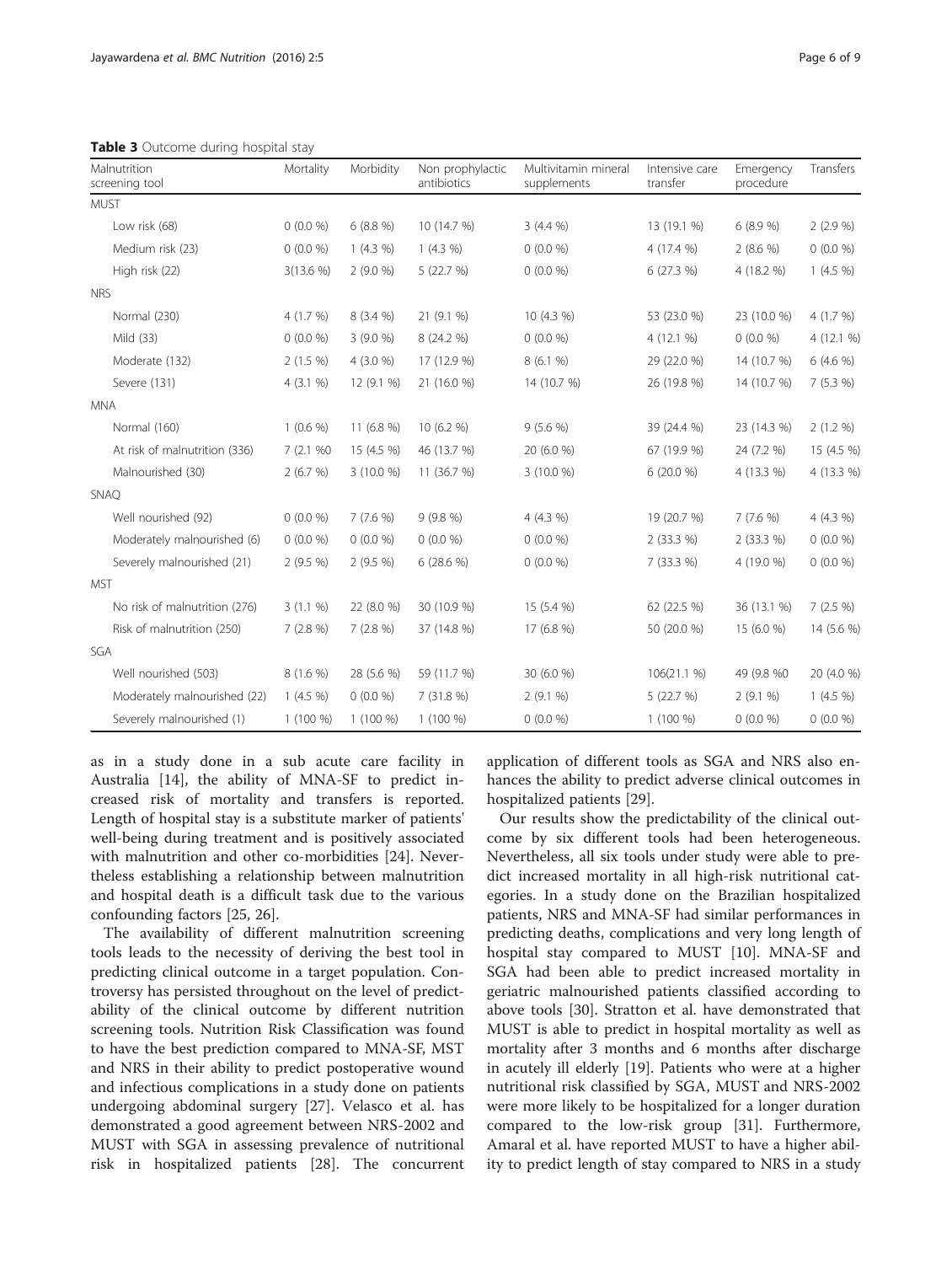| Malnutrition<br>screening tool | Mortality  | Morbidity  | Non prophylactic<br>antibiotics | Multivitamin mineral<br>supplements | Intensive care<br>transfer | Emergency<br>procedure | Transfers   |
|--------------------------------|------------|------------|---------------------------------|-------------------------------------|----------------------------|------------------------|-------------|
| <b>MUST</b>                    |            |            |                                 |                                     |                            |                        |             |
| Low risk (68)                  | $0(0.0\%)$ | 6(8.8%)    | 10 (14.7 %)                     | $3(4.4\%)$                          | 13 (19.1 %)                | 6(8.9%                 | $2(2.9\%)$  |
| Medium risk (23)               | $0(0.0\%)$ | $1(4.3\%)$ | $1(4.3\%)$                      | $0(0.0\%)$                          | 4 (17.4 %)                 | 2(8.6%                 | $0(0.0\%)$  |
| High risk (22)                 | 3(13.6 %)  | 2 (9.0 %)  | 5 (22.7 %)                      | $0(0.0\%)$                          | 6(27.3%)                   | 4 (18.2 %)             | $1(4.5\%)$  |
| <b>NRS</b>                     |            |            |                                 |                                     |                            |                        |             |
| Normal (230)                   | 4 (1.7 %)  | 8 (3.4 %)  | 21 (9.1 %)                      | 10 (4.3 %)                          | 53 (23.0 %)                | 23 (10.0 %)            | 4 $(1.7 %)$ |
| Mild (33)                      | $0(0.0\%)$ | 3(9.0%     | 8 (24.2 %)                      | $0(0.0\%)$                          | 4 (12.1 %)                 | $0(0.0\%)$             | 4 (12.1 %)  |
| Moderate (132)                 | $2(1.5\%)$ | 4(3.0%     | 17 (12.9 %)                     | 8 (6.1 %)                           | 29 (22.0 %)                | 14 (10.7 %)            | 6 (4.6 %)   |
| Severe (131)                   | 4(3.1%     | 12 (9.1 %) | 21 (16.0 %)                     | 14 (10.7 %)                         | 26 (19.8 %)                | 14 (10.7 %)            | 7(5.3%)     |
| <b>MNA</b>                     |            |            |                                 |                                     |                            |                        |             |
| Normal (160)                   | $1(0.6\%)$ | 11 (6.8 %) | 10 (6.2 %)                      | 9(5.6%                              | 39 (24.4 %)                | 23 (14.3 %)            | $2(1.2\%)$  |
| At risk of malnutrition (336)  | 7 (2.1 %0  | 15 (4.5 %) | 46 (13.7 %)                     | 20 (6.0 %)                          | 67 (19.9 %)                | 24 (7.2 %)             | 15 (4.5 %)  |
| Malnourished (30)              | 2(6.7%)    | 3 (10.0 %) | 11 (36.7 %)                     | 3 (10.0 %)                          | 6 (20.0 %)                 | 4 (13.3 %)             | 4 (13.3 %)  |
| SNAQ                           |            |            |                                 |                                     |                            |                        |             |
| Well nourished (92)            | $0(0.0\%)$ | 7(7.6%     | $9(9.8\%)$                      | 4(4.3%)                             | 19 (20.7 %)                | 7(7.6%                 | $4(4.3\%)$  |
| Moderately malnourished (6)    | $0(0.0\%)$ | $0(0.0\%)$ | $0(0.0\%)$                      | $0(0.0\%)$                          | 2 (33.3 %)                 | 2 (33.3 %)             | $0(0.0\%)$  |
| Severely malnourished (21)     | $2(9.5\%)$ | $2(9.5\%)$ | 6 (28.6 %)                      | $0(0.0\%)$                          | 7(33.3%)                   | 4 (19.0 %)             | $0(0.0\%)$  |
| <b>MST</b>                     |            |            |                                 |                                     |                            |                        |             |
| No risk of malnutrition (276)  | $3(1.1\%)$ | 22 (8.0 %) | 30 (10.9 %)                     | 15 (5.4 %)                          | 62 (22.5 %)                | 36 (13.1 %)            | 7(2.5%)     |
| Risk of malnutrition (250)     | 7(2.8%)    | 7(2.8%)    | 37 (14.8 %)                     | 17 (6.8 %)                          | 50 (20.0 %)                | 15 (6.0 %)             | 14 (5.6 %)  |
| SGA                            |            |            |                                 |                                     |                            |                        |             |
| Well nourished (503)           | 8 (1.6 %)  | 28 (5.6 %) | 59 (11.7 %)                     | 30 (6.0 %)                          | 106(21.1 %)                | 49 (9.8 %0)            | 20 (4.0 %)  |
| Moderately malnourished (22)   | $1(4.5\%)$ | $0(0.0\%)$ | 7(31.8%)                        | 2(9.1%                              | 5(22.7%)                   | 2(9.1%                 | $1(4.5\%)$  |
| Severely malnourished (1)      | $1(100\%)$ | $1(100\%)$ | $1(100\%)$                      | $0(0.0\%)$                          | $1(100\%)$                 | $0(0.0\%)$             | $0(0.0\%)$  |

<span id="page-5-0"></span>Table 3 Outcome during hospital stay

as in a study done in a sub acute care facility in Australia [[14](#page-7-0)], the ability of MNA-SF to predict increased risk of mortality and transfers is reported. Length of hospital stay is a substitute marker of patients' well-being during treatment and is positively associated with malnutrition and other co-morbidities [[24\]](#page-8-0). Nevertheless establishing a relationship between malnutrition and hospital death is a difficult task due to the various confounding factors [[25, 26\]](#page-8-0).

The availability of different malnutrition screening tools leads to the necessity of deriving the best tool in predicting clinical outcome in a target population. Controversy has persisted throughout on the level of predictability of the clinical outcome by different nutrition screening tools. Nutrition Risk Classification was found to have the best prediction compared to MNA-SF, MST and NRS in their ability to predict postoperative wound and infectious complications in a study done on patients undergoing abdominal surgery [[27\]](#page-8-0). Velasco et al. has demonstrated a good agreement between NRS-2002 and MUST with SGA in assessing prevalence of nutritional risk in hospitalized patients [\[28](#page-8-0)]. The concurrent application of different tools as SGA and NRS also enhances the ability to predict adverse clinical outcomes in hospitalized patients [[29](#page-8-0)].

Our results show the predictability of the clinical outcome by six different tools had been heterogeneous. Nevertheless, all six tools under study were able to predict increased mortality in all high-risk nutritional categories. In a study done on the Brazilian hospitalized patients, NRS and MNA-SF had similar performances in predicting deaths, complications and very long length of hospital stay compared to MUST [\[10](#page-7-0)]. MNA-SF and SGA had been able to predict increased mortality in geriatric malnourished patients classified according to above tools [\[30\]](#page-8-0). Stratton et al. have demonstrated that MUST is able to predict in hospital mortality as well as mortality after 3 months and 6 months after discharge in acutely ill elderly [\[19\]](#page-7-0). Patients who were at a higher nutritional risk classified by SGA, MUST and NRS-2002 were more likely to be hospitalized for a longer duration compared to the low-risk group [\[31\]](#page-8-0). Furthermore, Amaral et al. have reported MUST to have a higher ability to predict length of stay compared to NRS in a study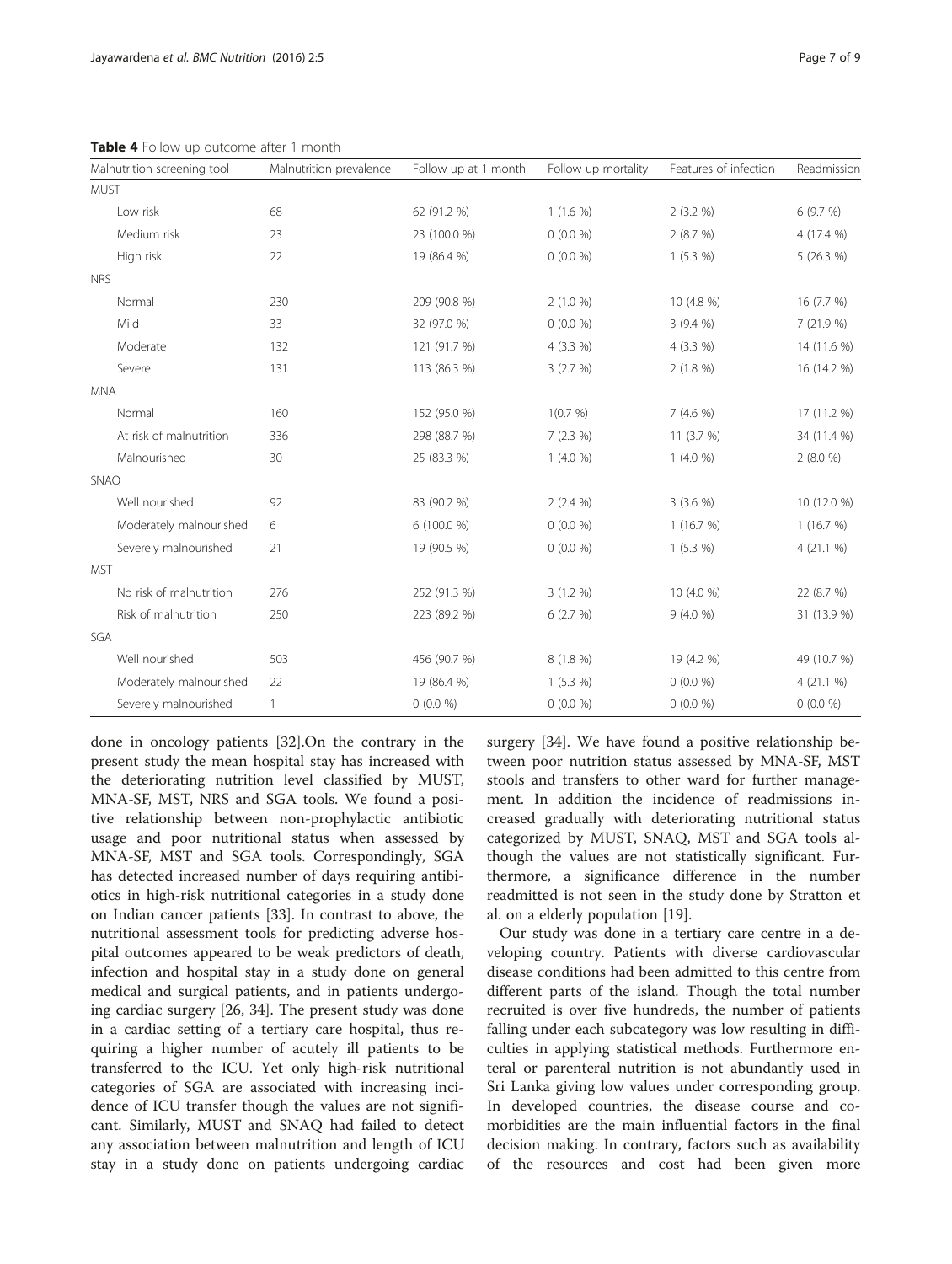| Malnutrition screening tool | Malnutrition prevalence | Follow up at 1 month | Follow up mortality | Features of infection | Readmission |
|-----------------------------|-------------------------|----------------------|---------------------|-----------------------|-------------|
| <b>MUST</b>                 |                         |                      |                     |                       |             |
| Low risk                    | 68                      | 62 (91.2 %)          | $1(1.6\%)$          | 2(3.2%                | 6 (9.7 %)   |
| Medium risk                 | 23                      | 23 (100.0 %)         | $0(0.0\%)$          | 2(8.7%)               | 4 (17.4 %)  |
| High risk                   | 22                      | 19 (86.4 %)          | $0(0.0\%)$          | 1(5.3%                | 5(26.3%)    |
| <b>NRS</b>                  |                         |                      |                     |                       |             |
| Normal                      | 230                     | 209 (90.8 %)         | 2(1.0 %)            | 10 (4.8 %)            | 16 (7.7 %)  |
| Mild                        | 33                      | 32 (97.0 %)          | $0(0.0\%)$          | 3(9.4%                | 7(21.9%     |
| Moderate                    | 132                     | 121 (91.7 %)         | $4(3.3\%)$          | 4 (3.3 %)             | 14 (11.6 %) |
| Severe                      | 131                     | 113 (86.3 %)         | 3(2.7%)             | 2(1.8%)               | 16 (14.2 %) |
| <b>MNA</b>                  |                         |                      |                     |                       |             |
| Normal                      | 160                     | 152 (95.0 %)         | 1(0.7 %)            | 7 (4.6 %)             | 17 (11.2 %) |
| At risk of malnutrition     | 336                     | 298 (88.7 %)         | 7(2.3%)             | 11 $(3.7%)$           | 34 (11.4 %) |
| Malnourished                | 30                      | 25 (83.3 %)          | 1(4.0%              | 1(4.0%                | 2(8.0%)     |
| SNAQ                        |                         |                      |                     |                       |             |
| Well nourished              | 92                      | 83 (90.2 %)          | $2(2.4\%)$          | $3(3.6\%)$            | 10 (12.0 %) |
| Moderately malnourished     | 6                       | $6(100.0\%)$         | $0(0.0\%)$          | 1(16.7%)              | 1(16.7%)    |
| Severely malnourished       | 21                      | 19 (90.5 %)          | $0(0.0\%)$          | 1(5.3%)               | 4(21.1%     |
| <b>MST</b>                  |                         |                      |                     |                       |             |
| No risk of malnutrition     | 276                     | 252 (91.3 %)         | 3(1.2%              | 10 (4.0 %)            | 22 (8.7 %)  |
| Risk of malnutrition        | 250                     | 223 (89.2 %)         | 6(2.7%)             | 9(4.0%                | 31 (13.9 %) |
| SGA                         |                         |                      |                     |                       |             |
| Well nourished              | 503                     | 456 (90.7 %)         | 8 (1.8 %)           | 19 (4.2 %)            | 49 (10.7 %) |
| Moderately malnourished     | 22                      | 19 (86.4 %)          | 1(5.3%)             | $0(0.0\%)$            | 4(21.1%     |
| Severely malnourished       | $\mathbf{1}$            | $0(0.0\%)$           | $0(0.0\%)$          | $0(0.0\%)$            | $0(0.0\%)$  |

<span id="page-6-0"></span>Table 4 Follow up outcome after 1 month

done in oncology patients [[32](#page-8-0)].On the contrary in the present study the mean hospital stay has increased with the deteriorating nutrition level classified by MUST, MNA-SF, MST, NRS and SGA tools. We found a positive relationship between non-prophylactic antibiotic usage and poor nutritional status when assessed by MNA-SF, MST and SGA tools. Correspondingly, SGA has detected increased number of days requiring antibiotics in high-risk nutritional categories in a study done on Indian cancer patients [\[33](#page-8-0)]. In contrast to above, the nutritional assessment tools for predicting adverse hospital outcomes appeared to be weak predictors of death, infection and hospital stay in a study done on general medical and surgical patients, and in patients undergoing cardiac surgery [[26, 34\]](#page-8-0). The present study was done in a cardiac setting of a tertiary care hospital, thus requiring a higher number of acutely ill patients to be transferred to the ICU. Yet only high-risk nutritional categories of SGA are associated with increasing incidence of ICU transfer though the values are not significant. Similarly, MUST and SNAQ had failed to detect any association between malnutrition and length of ICU stay in a study done on patients undergoing cardiac

surgery [[34\]](#page-8-0). We have found a positive relationship between poor nutrition status assessed by MNA-SF, MST stools and transfers to other ward for further management. In addition the incidence of readmissions increased gradually with deteriorating nutritional status categorized by MUST, SNAQ, MST and SGA tools although the values are not statistically significant. Furthermore, a significance difference in the number readmitted is not seen in the study done by Stratton et al. on a elderly population [[19\]](#page-7-0).

Our study was done in a tertiary care centre in a developing country. Patients with diverse cardiovascular disease conditions had been admitted to this centre from different parts of the island. Though the total number recruited is over five hundreds, the number of patients falling under each subcategory was low resulting in difficulties in applying statistical methods. Furthermore enteral or parenteral nutrition is not abundantly used in Sri Lanka giving low values under corresponding group. In developed countries, the disease course and comorbidities are the main influential factors in the final decision making. In contrary, factors such as availability of the resources and cost had been given more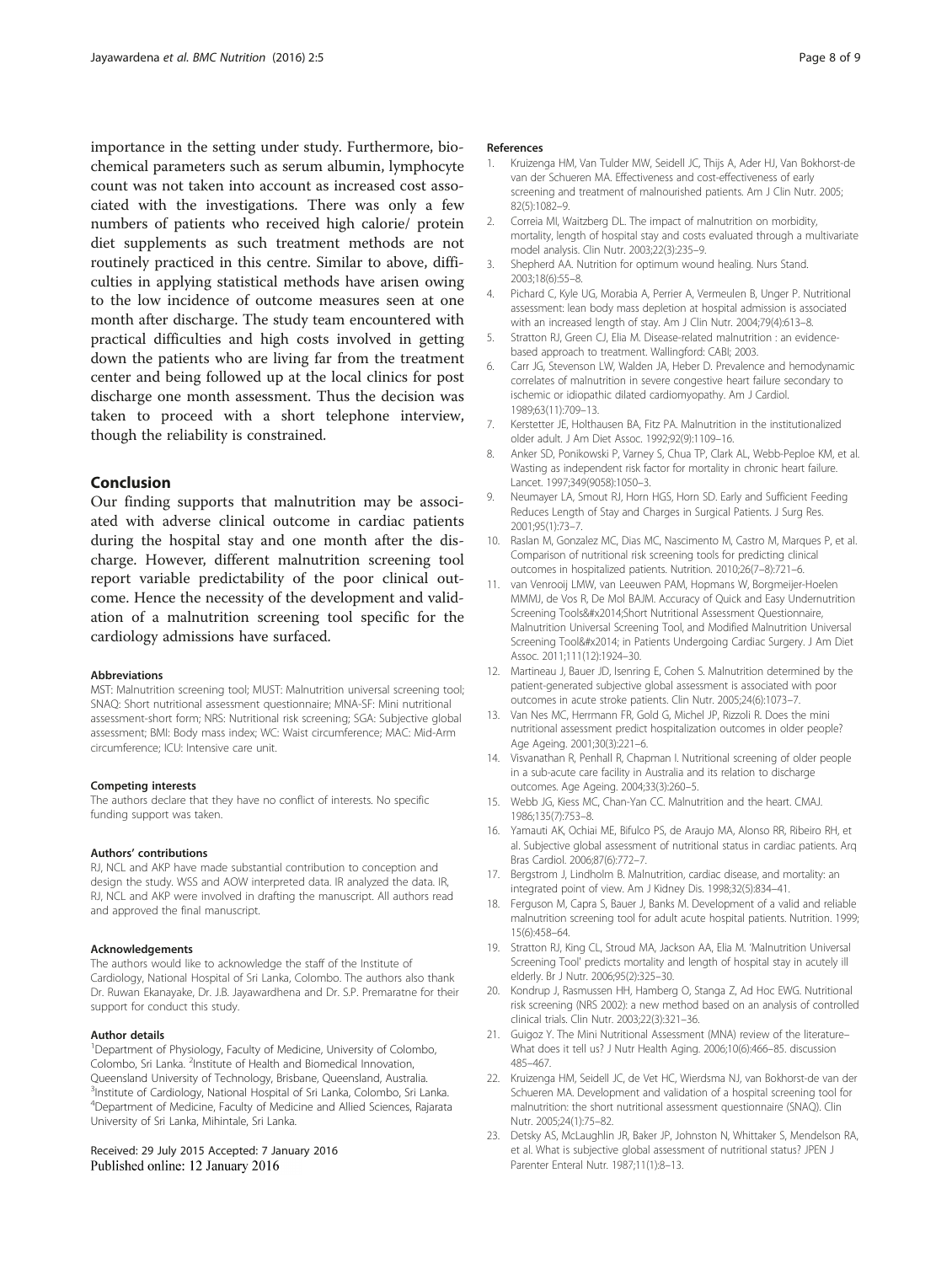<span id="page-7-0"></span>importance in the setting under study. Furthermore, biochemical parameters such as serum albumin, lymphocyte count was not taken into account as increased cost associated with the investigations. There was only a few numbers of patients who received high calorie/ protein diet supplements as such treatment methods are not routinely practiced in this centre. Similar to above, difficulties in applying statistical methods have arisen owing to the low incidence of outcome measures seen at one month after discharge. The study team encountered with practical difficulties and high costs involved in getting down the patients who are living far from the treatment center and being followed up at the local clinics for post discharge one month assessment. Thus the decision was taken to proceed with a short telephone interview, though the reliability is constrained.

## Conclusion

Our finding supports that malnutrition may be associated with adverse clinical outcome in cardiac patients during the hospital stay and one month after the discharge. However, different malnutrition screening tool report variable predictability of the poor clinical outcome. Hence the necessity of the development and validation of a malnutrition screening tool specific for the cardiology admissions have surfaced.

#### Abbreviations

MST: Malnutrition screening tool; MUST: Malnutrition universal screening tool; SNAQ: Short nutritional assessment questionnaire; MNA-SF: Mini nutritional assessment-short form; NRS: Nutritional risk screening; SGA: Subjective global assessment; BMI: Body mass index; WC: Waist circumference; MAC: Mid-Arm circumference; ICU: Intensive care unit.

#### Competing interests

The authors declare that they have no conflict of interests. No specific funding support was taken.

#### Authors' contributions

RJ, NCL and AKP have made substantial contribution to conception and design the study. WSS and AOW interpreted data. IR analyzed the data. IR, RJ, NCL and AKP were involved in drafting the manuscript. All authors read and approved the final manuscript.

#### Acknowledgements

The authors would like to acknowledge the staff of the Institute of Cardiology, National Hospital of Sri Lanka, Colombo. The authors also thank Dr. Ruwan Ekanayake, Dr. J.B. Jayawardhena and Dr. S.P. Premaratne for their support for conduct this study.

### Author details

<sup>1</sup>Department of Physiology, Faculty of Medicine, University of Colombo, Colombo, Sri Lanka. <sup>2</sup>Institute of Health and Biomedical Innovation, Queensland University of Technology, Brisbane, Queensland, Australia. <sup>3</sup>Institute of Cardiology, National Hospital of Sri Lanka, Colombo, Sri Lanka. 4 Department of Medicine, Faculty of Medicine and Allied Sciences, Rajarata University of Sri Lanka, Mihintale, Sri Lanka.

## Received: 29 July 2015 Accepted: 7 January 2016 Published online: 12 January 2016

### References

- 1. Kruizenga HM, Van Tulder MW, Seidell JC, Thijs A, Ader HJ, Van Bokhorst-de van der Schueren MA. Effectiveness and cost-effectiveness of early screening and treatment of malnourished patients. Am J Clin Nutr. 2005; 82(5):1082–9.
- 2. Correia MI, Waitzberg DL. The impact of malnutrition on morbidity, mortality, length of hospital stay and costs evaluated through a multivariate model analysis. Clin Nutr. 2003;22(3):235–9.
- 3. Shepherd AA. Nutrition for optimum wound healing. Nurs Stand. 2003;18(6):55–8.
- 4. Pichard C, Kyle UG, Morabia A, Perrier A, Vermeulen B, Unger P. Nutritional assessment: lean body mass depletion at hospital admission is associated with an increased length of stay. Am J Clin Nutr. 2004;79(4):613–8.
- 5. Stratton RJ, Green CJ, Elia M. Disease-related malnutrition : an evidencebased approach to treatment. Wallingford: CABI; 2003.
- Carr JG, Stevenson LW, Walden JA, Heber D. Prevalence and hemodynamic correlates of malnutrition in severe congestive heart failure secondary to ischemic or idiopathic dilated cardiomyopathy. Am J Cardiol. 1989;63(11):709–13.
- 7. Kerstetter JE, Holthausen BA, Fitz PA. Malnutrition in the institutionalized older adult. J Am Diet Assoc. 1992;92(9):1109–16.
- 8. Anker SD, Ponikowski P, Varney S, Chua TP, Clark AL, Webb-Peploe KM, et al. Wasting as independent risk factor for mortality in chronic heart failure. Lancet. 1997;349(9058):1050–3.
- 9. Neumayer LA, Smout RJ, Horn HGS, Horn SD. Early and Sufficient Feeding Reduces Length of Stay and Charges in Surgical Patients. J Surg Res. 2001;95(1):73–7.
- 10. Raslan M, Gonzalez MC, Dias MC, Nascimento M, Castro M, Marques P, et al. Comparison of nutritional risk screening tools for predicting clinical outcomes in hospitalized patients. Nutrition. 2010;26(7–8):721–6.
- 11. van Venrooij LMW, van Leeuwen PAM, Hopmans W, Borgmeijer-Hoelen MMMJ, de Vos R, De Mol BAJM. Accuracy of Quick and Easy Undernutrition Screening Tools—Short Nutritional Assessment Questionnaire, Malnutrition Universal Screening Tool, and Modified Malnutrition Universal Screening Tool— in Patients Undergoing Cardiac Surgery. J Am Diet Assoc. 2011;111(12):1924–30.
- 12. Martineau J, Bauer JD, Isenring E, Cohen S. Malnutrition determined by the patient-generated subjective global assessment is associated with poor outcomes in acute stroke patients. Clin Nutr. 2005;24(6):1073–7.
- 13. Van Nes MC, Herrmann FR, Gold G, Michel JP, Rizzoli R. Does the mini nutritional assessment predict hospitalization outcomes in older people? Age Ageing. 2001;30(3):221–6.
- 14. Visvanathan R, Penhall R, Chapman I. Nutritional screening of older people in a sub-acute care facility in Australia and its relation to discharge outcomes. Age Ageing. 2004;33(3):260–5.
- 15. Webb JG, Kiess MC, Chan-Yan CC. Malnutrition and the heart. CMAJ. 1986;135(7):753–8.
- 16. Yamauti AK, Ochiai ME, Bifulco PS, de Araujo MA, Alonso RR, Ribeiro RH, et al. Subjective global assessment of nutritional status in cardiac patients. Arq Bras Cardiol. 2006;87(6):772–7.
- 17. Bergstrom J, Lindholm B. Malnutrition, cardiac disease, and mortality: an integrated point of view. Am J Kidney Dis. 1998;32(5):834–41.
- 18. Ferguson M, Capra S, Bauer J, Banks M. Development of a valid and reliable malnutrition screening tool for adult acute hospital patients. Nutrition. 1999; 15(6):458–64.
- 19. Stratton RJ, King CL, Stroud MA, Jackson AA, Elia M. 'Malnutrition Universal Screening Tool' predicts mortality and length of hospital stay in acutely ill elderly. Br J Nutr. 2006;95(2):325–30.
- 20. Kondrup J, Rasmussen HH, Hamberg O, Stanga Z, Ad Hoc EWG. Nutritional risk screening (NRS 2002): a new method based on an analysis of controlled clinical trials. Clin Nutr. 2003;22(3):321–36.
- 21. Guigoz Y. The Mini Nutritional Assessment (MNA) review of the literature– What does it tell us? J Nutr Health Aging. 2006;10(6):466–85. discussion 485–467.
- 22. Kruizenga HM, Seidell JC, de Vet HC, Wierdsma NJ, van Bokhorst-de van der Schueren MA. Development and validation of a hospital screening tool for malnutrition: the short nutritional assessment questionnaire (SNAQ). Clin Nutr. 2005;24(1):75–82.
- 23. Detsky AS, McLaughlin JR, Baker JP, Johnston N, Whittaker S, Mendelson RA, et al. What is subjective global assessment of nutritional status? JPEN J Parenter Enteral Nutr. 1987;11(1):8–13.